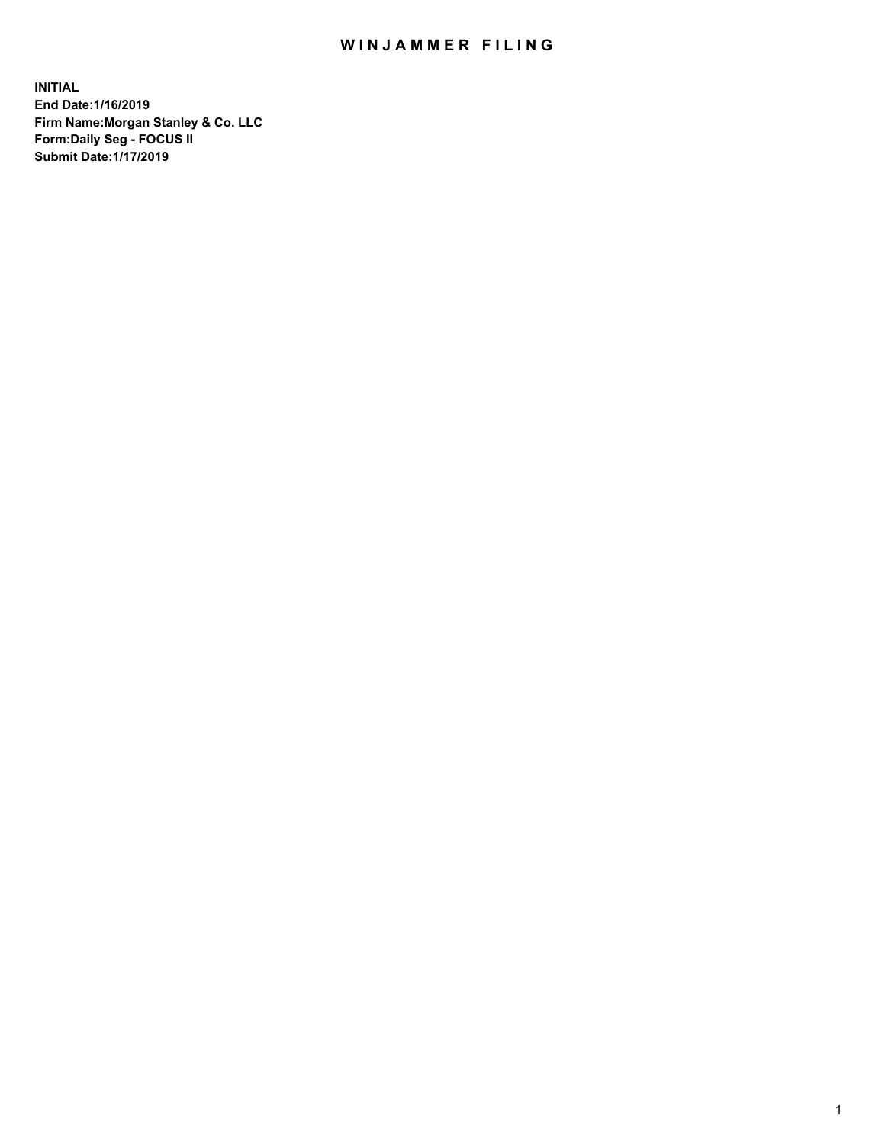## WIN JAMMER FILING

**INITIAL End Date:1/16/2019 Firm Name:Morgan Stanley & Co. LLC Form:Daily Seg - FOCUS II Submit Date:1/17/2019**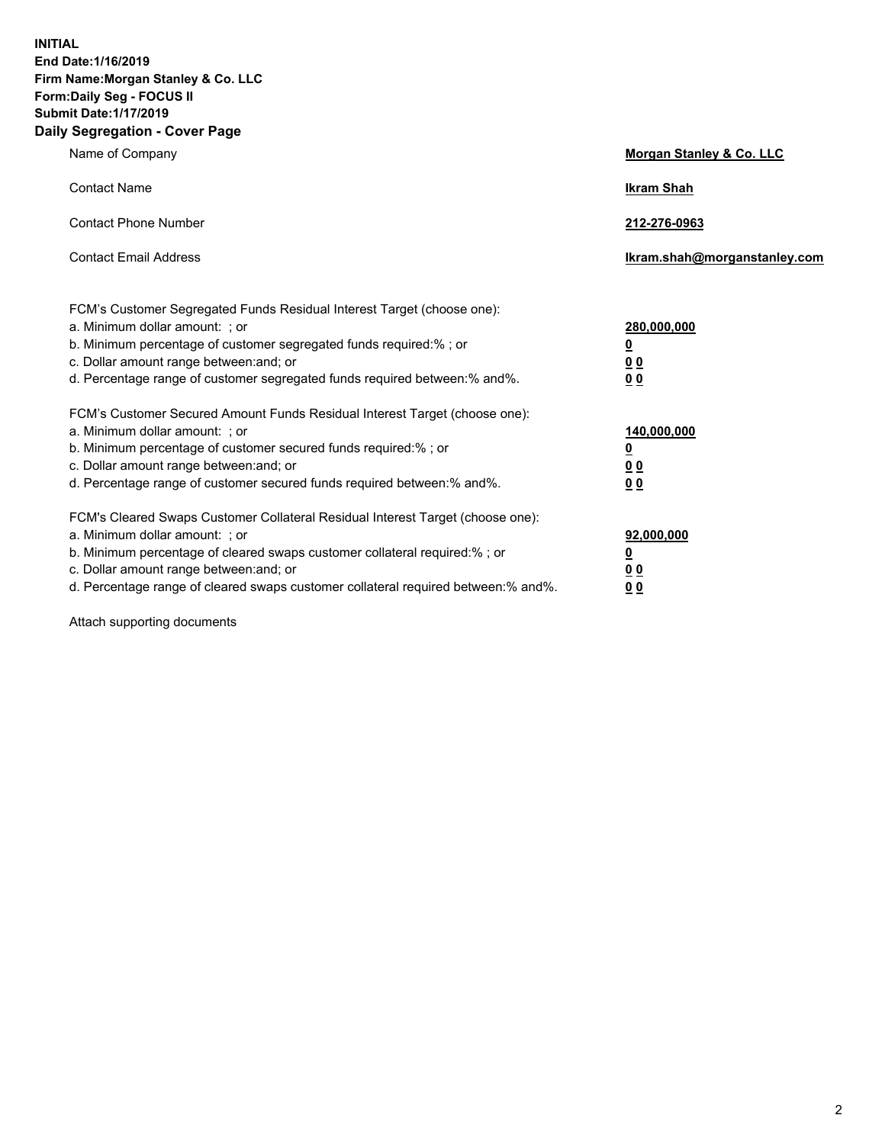**INITIAL End Date:1/16/2019 Firm Name:Morgan Stanley & Co. LLC Form:Daily Seg - FOCUS II Submit Date:1/17/2019 Daily Segregation - Cover Page**

| Name of Company                                                                                                                                                                                                                                                                                                                | Morgan Stanley & Co. LLC                               |
|--------------------------------------------------------------------------------------------------------------------------------------------------------------------------------------------------------------------------------------------------------------------------------------------------------------------------------|--------------------------------------------------------|
| <b>Contact Name</b>                                                                                                                                                                                                                                                                                                            | <b>Ikram Shah</b>                                      |
| <b>Contact Phone Number</b>                                                                                                                                                                                                                                                                                                    | 212-276-0963                                           |
| <b>Contact Email Address</b>                                                                                                                                                                                                                                                                                                   | Ikram.shah@morganstanley.com                           |
| FCM's Customer Segregated Funds Residual Interest Target (choose one):<br>a. Minimum dollar amount: ; or<br>b. Minimum percentage of customer segregated funds required:% ; or<br>c. Dollar amount range between: and; or<br>d. Percentage range of customer segregated funds required between:% and%.                         | 280,000,000<br><u>0</u><br><u>0 0</u><br>0 Q           |
| FCM's Customer Secured Amount Funds Residual Interest Target (choose one):<br>a. Minimum dollar amount: ; or<br>b. Minimum percentage of customer secured funds required:%; or<br>c. Dollar amount range between: and; or<br>d. Percentage range of customer secured funds required between:% and%.                            | 140,000,000<br><u>0</u><br><u>00</u><br>0 <sub>0</sub> |
| FCM's Cleared Swaps Customer Collateral Residual Interest Target (choose one):<br>a. Minimum dollar amount: ; or<br>b. Minimum percentage of cleared swaps customer collateral required:% ; or<br>c. Dollar amount range between: and; or<br>d. Percentage range of cleared swaps customer collateral required between:% and%. | 92,000,000<br><u>0</u><br><u>00</u><br>0 <sub>0</sub>  |

Attach supporting documents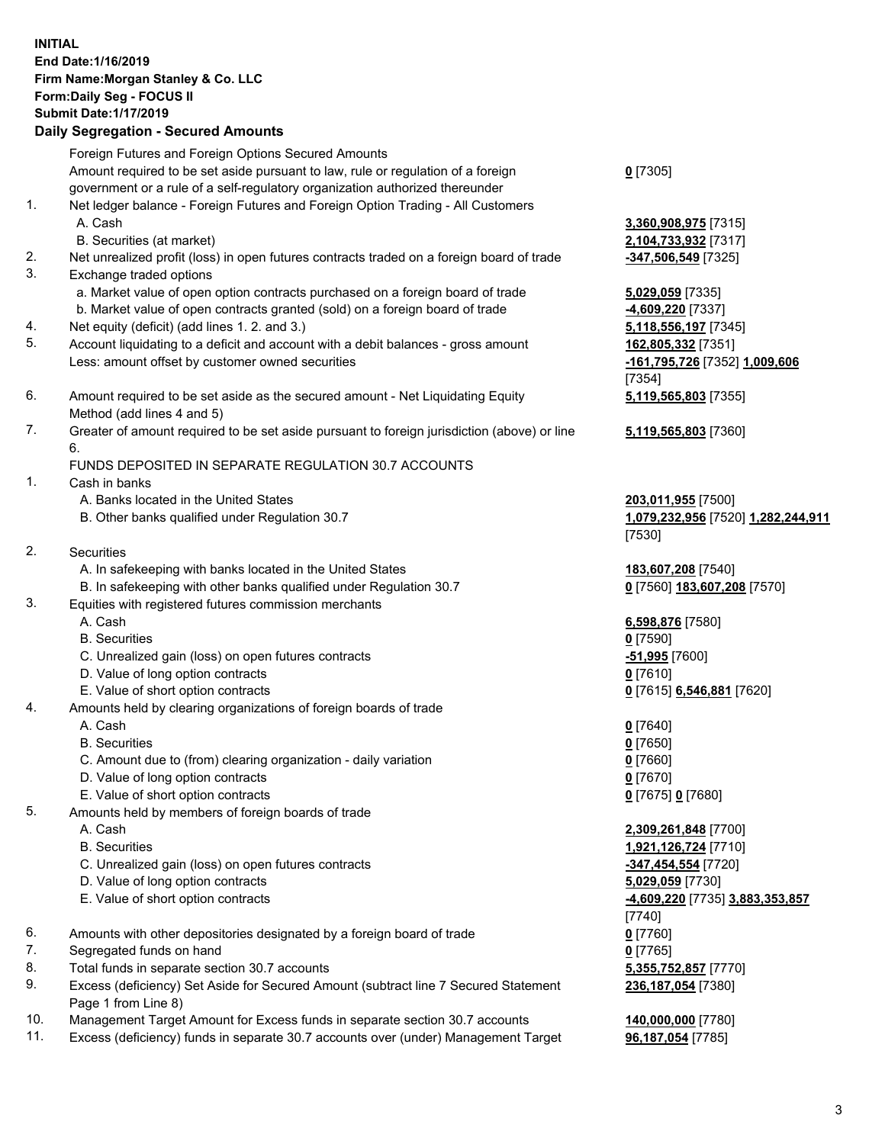## **INITIAL End Date:1/16/2019 Firm Name:Morgan Stanley & Co. LLC Form:Daily Seg - FOCUS II Submit Date:1/17/2019**

## **Daily Segregation - Secured Amounts**

Foreign Futures and Foreign Options Secured Amounts Amount required to be set aside pursuant to law, rule or regulation of a foreign government or a rule of a self-regulatory organization authorized thereunder

- 1. Net ledger balance Foreign Futures and Foreign Option Trading All Customers A. Cash **3,360,908,975** [7315]
	- B. Securities (at market) **2,104,733,932** [7317]
- 2. Net unrealized profit (loss) in open futures contracts traded on a foreign board of trade **-347,506,549** [7325]
- 3. Exchange traded options
	- a. Market value of open option contracts purchased on a foreign board of trade **5,029,059** [7335]
	- b. Market value of open contracts granted (sold) on a foreign board of trade **-4,609,220** [7337]
- 4. Net equity (deficit) (add lines 1. 2. and 3.) **5,118,556,197** [7345]
- 5. Account liquidating to a deficit and account with a debit balances gross amount **162,805,332** [7351] Less: amount offset by customer owned securities **-161,795,726** [7352] **1,009,606**
- 6. Amount required to be set aside as the secured amount Net Liquidating Equity Method (add lines 4 and 5)
- 7. Greater of amount required to be set aside pursuant to foreign jurisdiction (above) or line 6.

## FUNDS DEPOSITED IN SEPARATE REGULATION 30.7 ACCOUNTS

- 1. Cash in banks
	- A. Banks located in the United States **203,011,955** [7500]
	- B. Other banks qualified under Regulation 30.7 **1,079,232,956** [7520] **1,282,244,911**
- 2. Securities
	- A. In safekeeping with banks located in the United States **183,607,208** [7540]
	- B. In safekeeping with other banks qualified under Regulation 30.7 **0** [7560] **183,607,208** [7570]
- 3. Equities with registered futures commission merchants
	-
	- B. Securities **0** [7590]
	- C. Unrealized gain (loss) on open futures contracts **-51,995** [7600]
	- D. Value of long option contracts **0** [7610]
- E. Value of short option contracts **0** [7615] **6,546,881** [7620]
- 4. Amounts held by clearing organizations of foreign boards of trade
	- A. Cash **0** [7640]
	- B. Securities **0** [7650]
	- C. Amount due to (from) clearing organization daily variation **0** [7660]
	- D. Value of long option contracts **0** [7670]
	- E. Value of short option contracts **0** [7675] **0** [7680]
- 5. Amounts held by members of foreign boards of trade
	-
	-
	- C. Unrealized gain (loss) on open futures contracts **-347,454,554** [7720]
	- D. Value of long option contracts **5,029,059** [7730]
	- E. Value of short option contracts **-4,609,220** [7735] **3,883,353,857**
- 6. Amounts with other depositories designated by a foreign board of trade **0** [7760]
- 7. Segregated funds on hand **0** [7765]
- 8. Total funds in separate section 30.7 accounts **5,355,752,857** [7770]
- 9. Excess (deficiency) Set Aside for Secured Amount (subtract line 7 Secured Statement Page 1 from Line 8)
- 10. Management Target Amount for Excess funds in separate section 30.7 accounts **140,000,000** [7780]
- 11. Excess (deficiency) funds in separate 30.7 accounts over (under) Management Target **96,187,054** [7785]

**0** [7305]

[7354] **5,119,565,803** [7355]

**5,119,565,803** [7360]

[7530]

A. Cash **6,598,876** [7580]

 A. Cash **2,309,261,848** [7700] B. Securities **1,921,126,724** [7710] [7740] **236,187,054** [7380]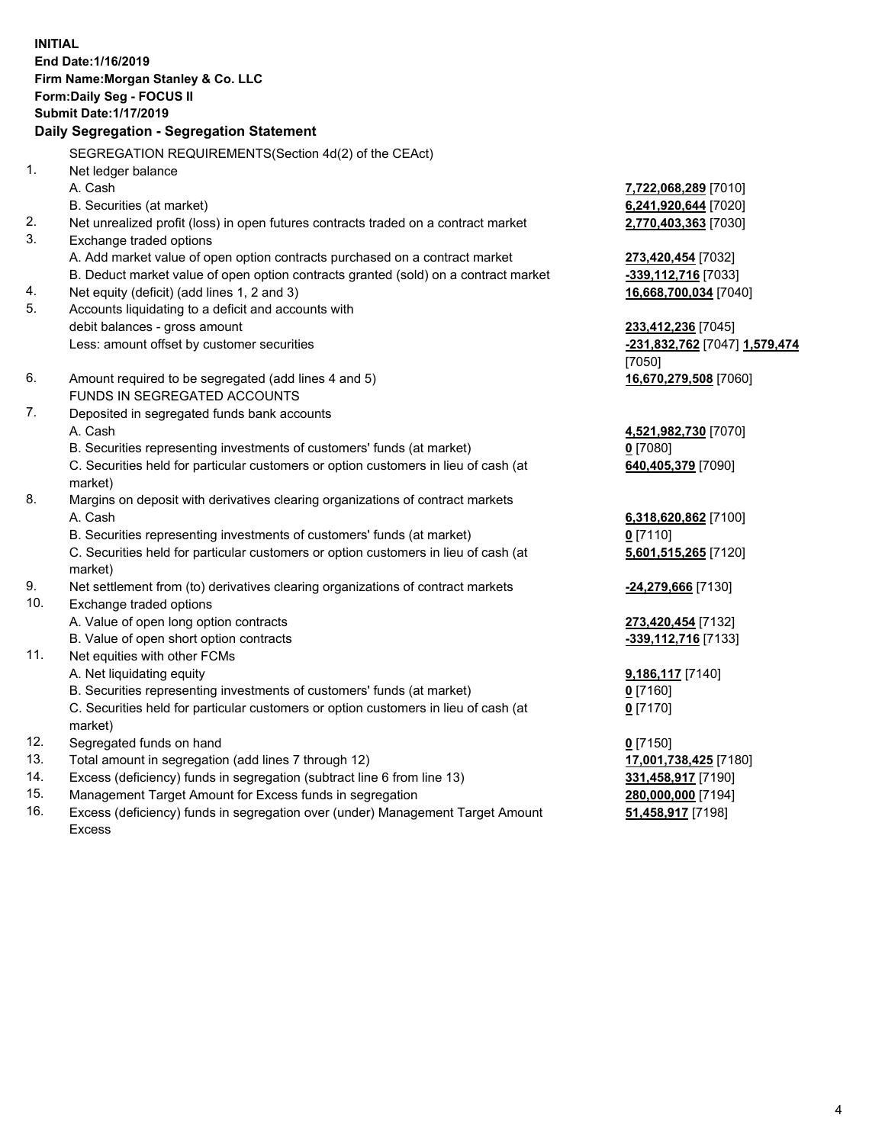**INITIAL End Date:1/16/2019 Firm Name:Morgan Stanley & Co. LLC Form:Daily Seg - FOCUS II Submit Date:1/17/2019 Daily Segregation - Segregation Statement** SEGREGATION REQUIREMENTS(Section 4d(2) of the CEAct) 1. Net ledger balance A. Cash **7,722,068,289** [7010] B. Securities (at market) **6,241,920,644** [7020] 2. Net unrealized profit (loss) in open futures contracts traded on a contract market **2,770,403,363** [7030] 3. Exchange traded options A. Add market value of open option contracts purchased on a contract market **273,420,454** [7032] B. Deduct market value of open option contracts granted (sold) on a contract market **-339,112,716** [7033] 4. Net equity (deficit) (add lines 1, 2 and 3) **16,668,700,034** [7040] 5. Accounts liquidating to a deficit and accounts with debit balances - gross amount **233,412,236** [7045] Less: amount offset by customer securities **-231,832,762** [7047] **1,579,474** [7050] 6. Amount required to be segregated (add lines 4 and 5) **16,670,279,508** [7060] FUNDS IN SEGREGATED ACCOUNTS 7. Deposited in segregated funds bank accounts A. Cash **4,521,982,730** [7070] B. Securities representing investments of customers' funds (at market) **0** [7080] C. Securities held for particular customers or option customers in lieu of cash (at market) **640,405,379** [7090] 8. Margins on deposit with derivatives clearing organizations of contract markets A. Cash **6,318,620,862** [7100] B. Securities representing investments of customers' funds (at market) **0** [7110] C. Securities held for particular customers or option customers in lieu of cash (at market) **5,601,515,265** [7120] 9. Net settlement from (to) derivatives clearing organizations of contract markets **-24,279,666** [7130] 10. Exchange traded options A. Value of open long option contracts **273,420,454** [7132] B. Value of open short option contracts **-339,112,716** [7133] 11. Net equities with other FCMs A. Net liquidating equity **9,186,117** [7140] B. Securities representing investments of customers' funds (at market) **0** [7160] C. Securities held for particular customers or option customers in lieu of cash (at market) **0** [7170] 12. Segregated funds on hand **0** [7150] 13. Total amount in segregation (add lines 7 through 12) **17,001,738,425** [7180] 14. Excess (deficiency) funds in segregation (subtract line 6 from line 13) **331,458,917** [7190]

- 15. Management Target Amount for Excess funds in segregation **280,000,000** [7194]
- 16. Excess (deficiency) funds in segregation over (under) Management Target Amount Excess

**51,458,917** [7198]